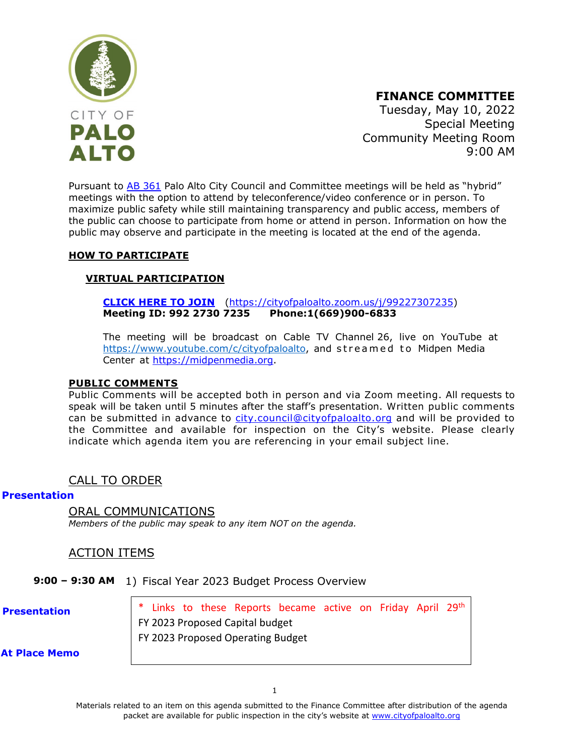

**FINANCE COMMITTEE**

Tuesday, May 10, 2022 Special Meeting Community Meeting Room 9:00 AM

Pursuant to [AB 361](https://leginfo.legislature.ca.gov/faces/billNavClient.xhtml?bill_id=202120220AB361) Palo Alto City Council and Committee meetings will be held as "hybrid" meetings with the option to attend by teleconference/video conference or in person. To maximize public safety while still maintaining transparency and public access, members of the public can choose to participate from home or attend in person. Information on how the public may observe and participate in the meeting is located at the end of the agenda.

### **HOW TO PARTICIPATE**

### **VIRTUAL PARTICIPATION**

**[CLICK HERE TO JOIN](https://cityofpaloalto.zoom.us/j/99227307235)** [\(https://cityofpaloalto.zoom.us/j/99227307235\)](https://cityofpaloalto.zoom.us/j/99227307235) **Meeting ID: 992 2730 7235 Phone:1(669)900-6833**

The meeting will be broadcast on Cable TV Channel 26, live on YouTube at [https://www.youtube.com/c/cityofpaloalto,](https://www.youtube.com/c/cityofpaloalto) and streamed to Midpen Media Center at [https://midpenmedia.org.](https://midpenmedia.org/)

#### **PUBLIC COMMENTS**

Public Comments will be accepted both in person and via Zoom meeting. All requests to speak will be taken until 5 minutes after the staff's presentation. Written public comments can be submitted in advance to [city.council@cityofpaloalto.org](mailto:city.council@cityofpaloalto.org) and will be provided to the Committee and available for inspection on the City's website. Please clearly indicate which agenda item you are referencing in your email subject line.

### CALL TO ORDER

#### **[Presentation](https://www.cityofpaloalto.org/files/assets/public/agendas-minutes-reports/agendas-minutes/finance-committee/2022/20220510/20220510pptfcs.pdf)**

ORAL COMMUNICATIONS *Members of the public may speak to any item NOT on the agenda.*

### ACTION ITEMS

**9:00 – 9:30 AM** 1) Fiscal Year 2023 Budget Process Overview

**[Presentation](https://www.cityofpaloalto.org/files/assets/public/agendas-minutes-reports/item-presentations/2022/20220510/20220510pptfcsm-item-1.pdf)**

Links to these Reports became active on Friday April 29th FY [2023 Proposed](https://www.cityofpaloalto.org/files/assets/public/administrative-services/city-budgets/fy2023-city-budget/proposed-fy23/fy-2023-proposed-capital-budget-real-final_upload2web_small.pdf) Capital budget [FY 2023 Proposed Operating Budget](https://www.cityofpaloalto.org/files/assets/public/administrative-services/city-budgets/fy2023-city-budget/proposed-fy23/fy-2023-proposed-operating-budget_final_upload2web_small2.pdf)

**[At Place Memo](www.cityofpaloalto.org/files/assets/public/agendas-minutes-reports/agendas-minutes/finance-committee/2022/20220510/at-place-memo-20220510.pdf)**

Materials related to an item on this agenda submitted to the Finance Committee after distribution of the agenda packet are available for public inspection in the city's website at [www.cityofpaloalto.org](http://www.cityofpaloalto.org/)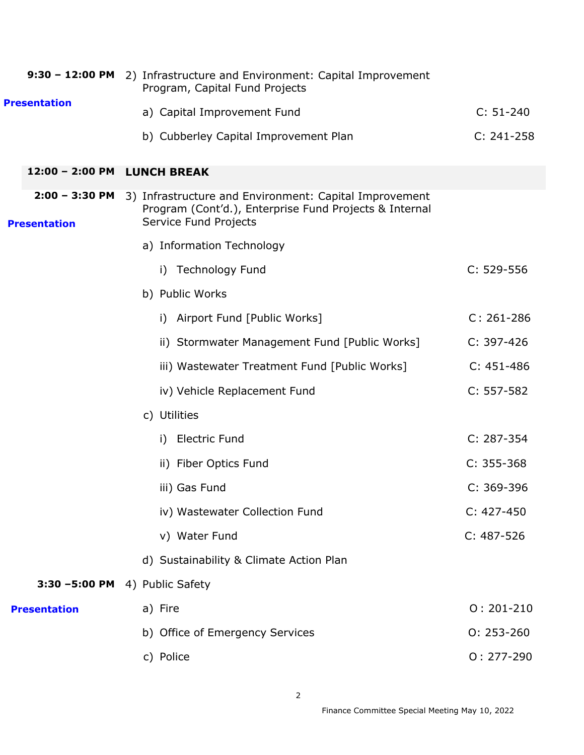|  |                                         | 9:30 - 12:00 PM 2) Infrastructure and Environment: Capital Improvement<br>Program, Capital Fund Projects                                  |                |
|--|-----------------------------------------|-------------------------------------------------------------------------------------------------------------------------------------------|----------------|
|  | <b>Presentation</b>                     | a) Capital Improvement Fund                                                                                                               | $C: 51-240$    |
|  |                                         | b) Cubberley Capital Improvement Plan                                                                                                     | $C: 241 - 258$ |
|  | 12:00 - 2:00 PM                         | <b>LUNCH BREAK</b>                                                                                                                        |                |
|  | $2:00 - 3:30$ PM<br><b>Presentation</b> | 3) Infrastructure and Environment: Capital Improvement<br>Program (Cont'd.), Enterprise Fund Projects & Internal<br>Service Fund Projects |                |
|  |                                         | a) Information Technology                                                                                                                 |                |
|  |                                         | <b>Technology Fund</b><br>i)                                                                                                              | $C: 529-556$   |
|  |                                         | b) Public Works                                                                                                                           |                |
|  |                                         | i) Airport Fund [Public Works]                                                                                                            | $C: 261 - 286$ |
|  |                                         | ii) Stormwater Management Fund [Public Works]                                                                                             | $C: 397-426$   |
|  |                                         | iii) Wastewater Treatment Fund [Public Works]                                                                                             | $C: 451 - 486$ |
|  |                                         | iv) Vehicle Replacement Fund                                                                                                              | $C: 557-582$   |
|  |                                         | c) Utilities                                                                                                                              |                |
|  |                                         | <b>Electric Fund</b><br>i)                                                                                                                | $C: 287 - 354$ |
|  |                                         | ii) Fiber Optics Fund                                                                                                                     | $C: 355-368$   |
|  |                                         | iii) Gas Fund                                                                                                                             | $C: 369-396$   |
|  |                                         | iv) Wastewater Collection Fund                                                                                                            | $C: 427 - 450$ |
|  |                                         | v) Water Fund                                                                                                                             | $C: 487-526$   |
|  |                                         | d) Sustainability & Climate Action Plan                                                                                                   |                |
|  |                                         | 3:30 -5:00 PM 4) Public Safety                                                                                                            |                |
|  | <b>Presentation</b>                     | a) Fire                                                                                                                                   | $0: 201 - 210$ |
|  |                                         | b) Office of Emergency Services                                                                                                           | $0: 253 - 260$ |
|  |                                         | c) Police                                                                                                                                 | $0: 277 - 290$ |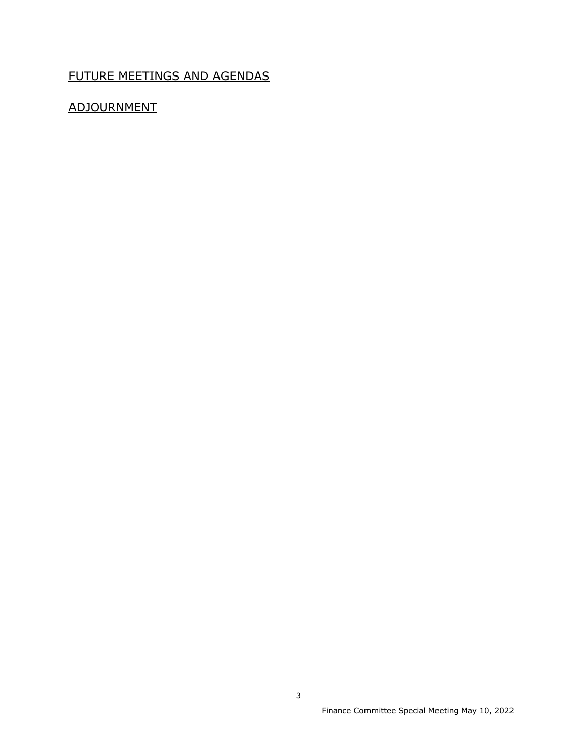# FUTURE MEETINGS AND AGENDAS

# ADJOURNMENT